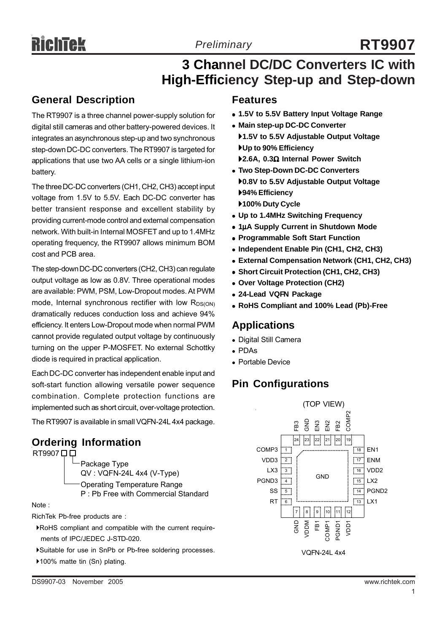# **3 Channel DC/DC Converters IC with**

## **High-Efficiency Step-up and Step-down**

### **General Description**

The RT9907 is a three channel power-supply solution for digital still cameras and other battery-powered devices. It integrates an asynchronous step-up and two synchronous step-down DC-DC converters. The RT9907 is targeted for applications that use two AA cells or a single lithium-ion battery.

The three DC-DC converters (CH1, CH2, CH3) accept input voltage from 1.5V to 5.5V. Each DC-DC converter has better transient response and excellent stability by providing current-mode control and external compensation network. With built-in Internal MOSFET and up to 1.4MHz operating frequency, the RT9907 allows minimum BOM cost and PCB area.

The step-down DC-DC converters (CH2, CH3) can regulate output voltage as low as 0.8V. Three operational modes are available: PWM, PSM, Low-Dropout modes. At PWM mode, Internal synchronous rectifier with low  $R_{DS(ON)}$ dramatically reduces conduction loss and achieve 94% efficiency. It enters Low-Dropout mode when normal PWM cannot provide regulated output voltage by continuously turning on the upper P-MOSFET. No external Schottky diode is required in practical application.

Each DC-DC converter has independent enable input and soft-start function allowing versatile power sequence combination. Complete protection functions are implemented such as short circuit, over-voltage protection.

The RT9907 is available in small VQFN-24L 4x4 package.

#### **Ordering Information** RT9907 0 0



Note :

RichTek Pb-free products are :

- `RoHS compliant and compatible with the current require ments of IPC/JEDEC J-STD-020.
- `Suitable for use in SnPb or Pb-free soldering processes.
- ▶100% matte tin (Sn) plating.
- <sup>z</sup> **1.5V to 5.5V Battery Input Voltage Range**
- **Main step-up DC-DC Converter** 
	- `**1.5V to 5.5V Adjustable Output Voltage** `**Up to 90% Efficiency**
	- `**2.6A, 0.3**Ω **Internal Power Switch**
- **Two Step-Down DC-DC Converters** `**0.8V to 5.5V Adjustable Output Voltage** `**94% Efficiency** `**100% Duty Cycle**
- <sup>z</sup> **Up to 1.4MHz Switching Frequency**
- **1uA Supply Current in Shutdown Mode**
- **Programmable Soft Start Function**
- <sup>z</sup> **Independent Enable Pin (CH1, CH2, CH3)**
- **External Compensation Network (CH1, CH2, CH3)**
- <sup>z</sup> **Short Circuit Protection (CH1, CH2, CH3)**
- <sup>z</sup> **Over Voltage Protection (CH2)**
- <sup>z</sup> **24-Lead VQFN Package**
- <sup>z</sup> **RoHS Compliant and 100% Lead (Pb)-Free**

### **Applications**

- Digital Still Camera
- $\bullet$  PDAs
- Portable Device

### **Pin Configurations**

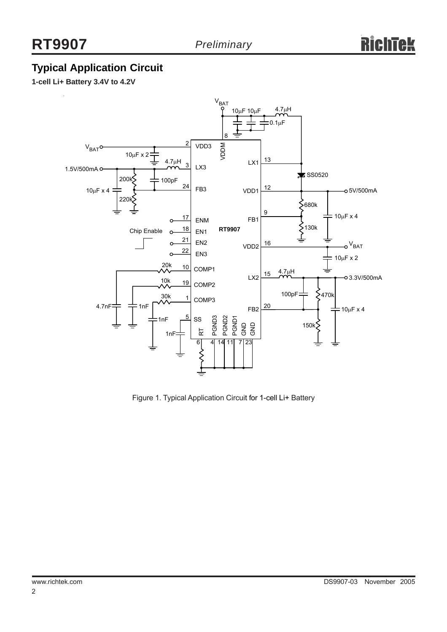### **Typical Application Circuit**

**1-cell Li+ Battery 3.4V to 4.2V**



Figure 1. Typical Application Circuit for 1-cell Li+ Battery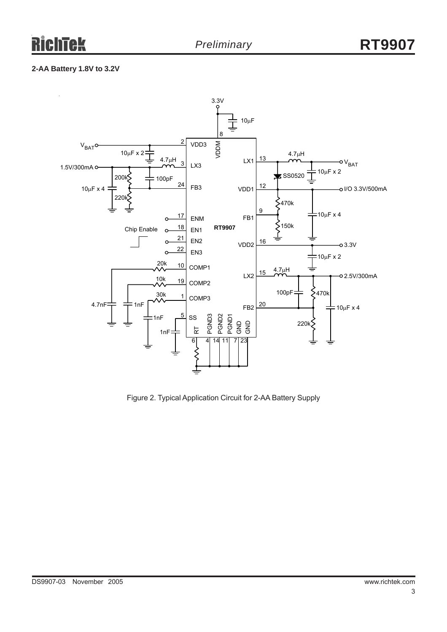#### **2-AA Battery 1.8V to 3.2V**



Figure 2. Typical Application Circuit for 2-AA Battery Supply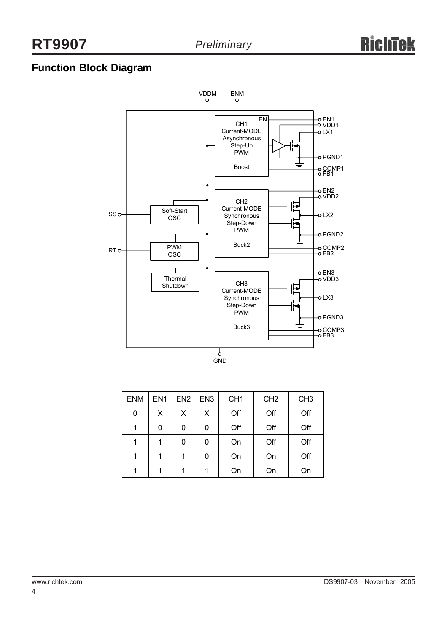### **Function Block Diagram**



| <b>ENM</b> | EN <sub>1</sub> | EN <sub>2</sub> | EN <sub>3</sub> | CH <sub>1</sub> | CH <sub>2</sub> | CH <sub>3</sub> |
|------------|-----------------|-----------------|-----------------|-----------------|-----------------|-----------------|
| 0          | X               | $\mathsf{X}$    | X               | Off             | Off             | Off             |
|            | 0               | 0               | 0               | Off             | Off             | Off             |
| 1          | 1               | 0               | 0               | On              | Off             | Off             |
| 1          | 1               | 1               | 0               | On              | On              | Off             |
| 1          | 1               | 1               | 1               | On              | On              | On              |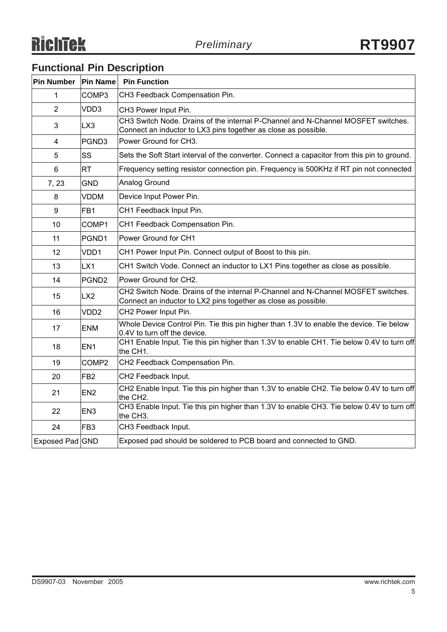### **Functional Pin Description**

| Pin Number  Pin Name |                   | <b>Pin Function</b>                                                                                                                                |
|----------------------|-------------------|----------------------------------------------------------------------------------------------------------------------------------------------------|
| 1                    | COMP3             | CH3 Feedback Compensation Pin.                                                                                                                     |
| $\overline{2}$       | VDD3              | CH3 Power Input Pin.                                                                                                                               |
| 3                    | LX3               | CH3 Switch Node. Drains of the internal P-Channel and N-Channel MOSFET switches.<br>Connect an inductor to LX3 pins together as close as possible. |
| 4                    | PGND3             | Power Ground for CH3.                                                                                                                              |
| 5                    | SS                | Sets the Soft Start interval of the converter. Connect a capacitor from this pin to ground.                                                        |
| 6                    | <b>RT</b>         | Frequency setting resistor connection pin. Frequency is 500KHz if RT pin not connected                                                             |
| 7, 23                | <b>GND</b>        | Analog Ground                                                                                                                                      |
| 8                    | <b>VDDM</b>       | Device Input Power Pin.                                                                                                                            |
| 9                    | FB1               | CH1 Feedback Input Pin.                                                                                                                            |
| 10                   | COMP1             | CH1 Feedback Compensation Pin.                                                                                                                     |
| 11                   | PGND1             | Power Ground for CH1                                                                                                                               |
| 12                   | VDD1              | CH1 Power Input Pin. Connect output of Boost to this pin.                                                                                          |
| 13                   | LX1               | CH1 Switch Vode. Connect an inductor to LX1 Pins together as close as possible.                                                                    |
| 14                   | PGND <sub>2</sub> | Power Ground for CH2.                                                                                                                              |
| 15                   | LX <sub>2</sub>   | CH2 Switch Node. Drains of the internal P-Channel and N-Channel MOSFET switches.<br>Connect an inductor to LX2 pins together as close as possible. |
| 16                   | VDD <sub>2</sub>  | CH2 Power Input Pin.                                                                                                                               |
| 17                   | <b>ENM</b>        | Whole Device Control Pin. Tie this pin higher than 1.3V to enable the device. Tie below<br>0.4V to turn off the device.                            |
| 18                   | EN <sub>1</sub>   | CH1 Enable Input. Tie this pin higher than 1.3V to enable CH1. Tie below 0.4V to turn off<br>the CH1.                                              |
| 19                   | COMP <sub>2</sub> | CH2 Feedback Compensation Pin.                                                                                                                     |
| 20                   | FB <sub>2</sub>   | CH2 Feedback Input.                                                                                                                                |
| 21                   | EN <sub>2</sub>   | CH2 Enable Input. Tie this pin higher than 1.3V to enable CH2. Tie below 0.4V to turn off<br>the CH2.                                              |
| 22                   | EN <sub>3</sub>   | CH3 Enable Input. Tie this pin higher than 1.3V to enable CH3. Tie below 0.4V to turn off<br>the CH3.                                              |
| 24                   | FB <sub>3</sub>   | CH3 Feedback Input.                                                                                                                                |
| Exposed Pad GND      |                   | Exposed pad should be soldered to PCB board and connected to GND.                                                                                  |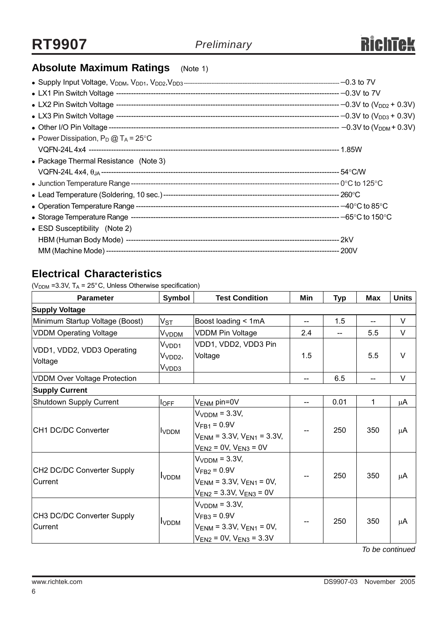### **Absolute Maximum Ratings** (Note 1)

| • Power Dissipation, $P_D @ T_A = 25^{\circ}C$ |  |
|------------------------------------------------|--|
|                                                |  |
| • Package Thermal Resistance (Note 3)          |  |
|                                                |  |
|                                                |  |
|                                                |  |
|                                                |  |
|                                                |  |
| • ESD Susceptibility (Note 2)                  |  |
|                                                |  |
|                                                |  |

### **Electrical Characteristics**

( $V<sub>DDM</sub>$  =3.3V, T<sub>A</sub> = 25°C, Unless Otherwise specification)

| <b>Parameter</b>                       | Symbol                                                        | <b>Test Condition</b>                                                                                                  | Min   | <b>Typ</b> | <b>Max</b> | <b>Units</b> |  |
|----------------------------------------|---------------------------------------------------------------|------------------------------------------------------------------------------------------------------------------------|-------|------------|------------|--------------|--|
| <b>Supply Voltage</b>                  |                                                               |                                                                                                                        |       |            |            |              |  |
| Minimum Startup Voltage (Boost)        | $V_{ST}$                                                      | Boost loading < 1mA                                                                                                    | $- -$ | 1.5        | $-$        | $\vee$       |  |
| <b>VDDM Operating Voltage</b>          | V <sub>VDDM</sub>                                             | <b>VDDM Pin Voltage</b>                                                                                                | 2.4   |            | 5.5        | V            |  |
| VDD1, VDD2, VDD3 Operating<br>Voltage  | V <sub>VDD1</sub><br>V <sub>VDD2</sub> ,<br>V <sub>VDD3</sub> | VDD1, VDD2, VDD3 Pin<br>Voltage                                                                                        | 1.5   |            | 5.5        | $\vee$       |  |
| <b>VDDM Over Voltage Protection</b>    |                                                               |                                                                                                                        | --    | 6.5        |            | $\vee$       |  |
| <b>Supply Current</b>                  |                                                               |                                                                                                                        |       |            |            |              |  |
| Shutdown Supply Current                | $I_{OFF}$                                                     | V <sub>ENM</sub> pin=0V                                                                                                |       | 0.01       | 1          | μA           |  |
| CH1 DC/DC Converter                    | <b>I</b> VDDM                                                 | V <sub>VDDM</sub> = 3.3V,<br>$V_{FB1} = 0.9V$<br>$V_{ENM}$ = 3.3V, $V_{EN1}$ = 3.3V,<br>$V_{EN2}$ = 0V, $V_{EN3}$ = 0V |       | 250        | 350        | μA           |  |
| CH2 DC/DC Converter Supply<br>lCurrent | <b>I</b> VDDM                                                 | $VVDDM = 3.3V,$<br>$V_{FB2} = 0.9V$<br>$V_{ENM}$ = 3.3V, $V_{EN1}$ = 0V,<br>$V_{EN2}$ = 3.3V, $V_{EN3}$ = 0V           |       | 250        | 350        | μA           |  |
| CH3 DC/DC Converter Supply<br>Current  | <b>I</b> VDDM                                                 | $VVDDM = 3.3V,$<br>$V_{FB3} = 0.9V$<br>$V_{ENM}$ = 3.3V, $V_{EN1}$ = 0V,<br>$V_{EN2}$ = 0V, $V_{EN3}$ = 3.3V           |       | 250        | 350        | μA           |  |

*To be continued*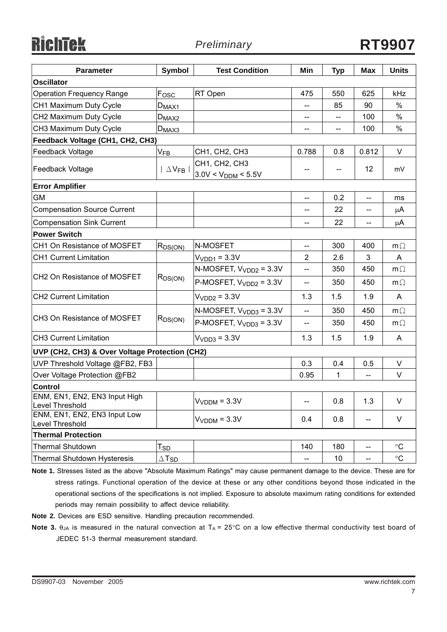**RichTek** 

| <b>Parameter</b>                                 | Symbol                     | <b>Test Condition</b>                    | Min                      | <b>Typ</b>               | <b>Max</b>                        | <b>Units</b> |  |
|--------------------------------------------------|----------------------------|------------------------------------------|--------------------------|--------------------------|-----------------------------------|--------------|--|
| <b>Oscillator</b>                                |                            |                                          |                          |                          |                                   |              |  |
| <b>Operation Frequency Range</b>                 | Fosc                       | RT Open                                  | 475                      | 550                      | 625                               | kHz          |  |
| CH1 Maximum Duty Cycle                           | $D_{\rm MAX1}$             |                                          | $\overline{\phantom{a}}$ | 85                       | 90                                | %            |  |
| CH2 Maximum Duty Cycle                           | $D_{MAX2}$                 |                                          | --                       |                          | 100                               | $\%$         |  |
| CH3 Maximum Duty Cycle                           | $D_{MAX3}$                 |                                          | --                       | --                       | 100                               | %            |  |
| Feedback Voltage (CH1, CH2, CH3)                 |                            |                                          |                          |                          |                                   |              |  |
| Feedback Voltage                                 | $V_{FB}$                   | CH1, CH2, CH3                            | 0.788                    | 0.8                      | 0.812                             | V            |  |
| Feedback Voltage                                 | $\Delta$ V <sub>FB</sub>   | CH1, CH2, CH3<br>$3.0V < V_{DDM} < 5.5V$ | --                       | $\overline{\phantom{a}}$ | 12                                | mV           |  |
| <b>Error Amplifier</b>                           |                            |                                          |                          |                          |                                   |              |  |
| GM                                               |                            |                                          | $\overline{\phantom{m}}$ | 0.2                      | $-$                               | ms           |  |
| <b>Compensation Source Current</b>               |                            |                                          | --                       | 22                       | --                                | μA           |  |
| <b>Compensation Sink Current</b>                 |                            |                                          | $\overline{\phantom{a}}$ | 22                       | $\hspace{0.05cm} \dashrightarrow$ | μA           |  |
| <b>Power Switch</b>                              |                            |                                          |                          |                          |                                   |              |  |
| CH1 On Resistance of MOSFET                      | $R_{DS(ON)}$               | N-MOSFET                                 | $\overline{\phantom{a}}$ | 300                      | 400                               | $m\Omega$    |  |
| <b>CH1 Current Limitation</b>                    |                            | $VVDD1 = 3.3V$                           | $\overline{2}$           | 2.6                      | 3                                 | A            |  |
|                                                  |                            | N-MOSFET, $V_{VDD2} = 3.3V$              | $-$                      | 350                      | 450                               | $m\Omega$    |  |
| CH2 On Resistance of MOSFET                      | $R_{DS(ON)}$               | P-MOSFET, $V_{VDD2} = 3.3V$              | --                       | 350                      | 450                               | $m\Omega$    |  |
| <b>CH2 Current Limitation</b>                    |                            | $VVDD2 = 3.3V$                           | 1.3                      | 1.5                      | 1.9                               | A            |  |
|                                                  | R <sub>DS(ON)</sub>        | N-MOSFET, $V_{VDD3} = 3.3V$              | $\overline{\phantom{a}}$ | 350                      | 450                               | $m\Omega$    |  |
| CH3 On Resistance of MOSFET                      |                            | P-MOSFET, $V_{VDD3} = 3.3V$              | $\overline{\phantom{a}}$ | 350                      | 450                               | $m\Omega$    |  |
| <b>CH3 Current Limitation</b>                    |                            | $VVDD3 = 3.3V$                           | 1.3                      | 1.5                      | 1.9                               | A            |  |
| UVP (CH2, CH3) & Over Voltage Protection (CH2)   |                            |                                          |                          |                          |                                   |              |  |
| UVP Threshold Voltage @FB2, FB3                  |                            |                                          | 0.3                      | 0.4                      | 0.5                               | V            |  |
| Over Voltage Protection @FB2                     |                            |                                          | 0.95                     | 1                        | --                                | V            |  |
| <b>Control</b>                                   |                            |                                          |                          |                          |                                   |              |  |
| ENM, EN1, EN2, EN3 Input High<br>Level Threshold |                            | $VVDDM = 3.3V$                           | --                       | 0.8                      | 1.3                               | V            |  |
| ENM, EN1, EN2, EN3 Input Low<br>Level Threshold  |                            | $VVDDM = 3.3V$                           | 0.4                      | 0.8                      | --                                | V            |  |
| <b>Thermal Protection</b>                        |                            |                                          |                          |                          |                                   |              |  |
| <b>Thermal Shutdown</b>                          | $\mathsf{T}_{\mathsf{SD}}$ |                                          | 140                      | 180                      | $\overline{\phantom{a}}$          | $^{\circ}C$  |  |
| Thermal Shutdown Hysteresis                      | $\Delta$ T <sub>SD</sub>   |                                          | --                       | 10 <sub>1</sub>          | ——                                | $^{\circ}C$  |  |

**Note 1.** Stresses listed as the above "Absolute Maximum Ratings" may cause permanent damage to the device. These are for stress ratings. Functional operation of the device at these or any other conditions beyond those indicated in the operational sections of the specifications is not implied. Exposure to absolute maximum rating conditions for extended periods may remain possibility to affect device reliability.

**Note 2.** Devices are ESD sensitive. Handling precaution recommended.

**Note 3.** θ<sub>JA</sub> is measured in the natural convection at T<sub>A</sub> = 25°C on a low effective thermal conductivity test board of JEDEC 51-3 thermal measurement standard.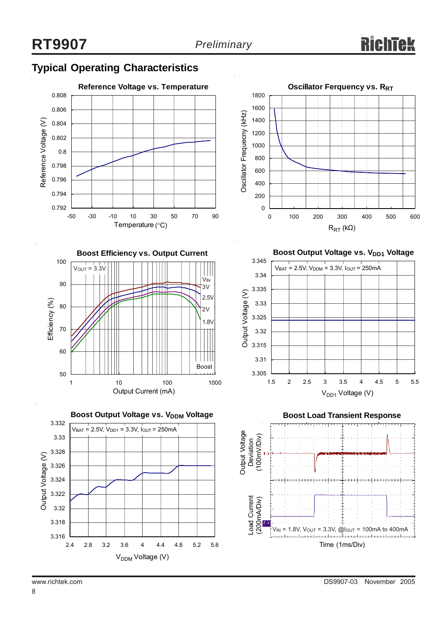### **Typical Operating Characteristics**









**Boost Output Voltage vs. V<sub>DD1</sub> Voltage** 





8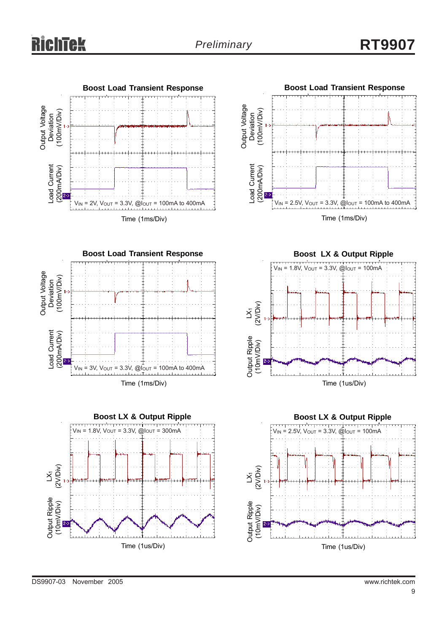









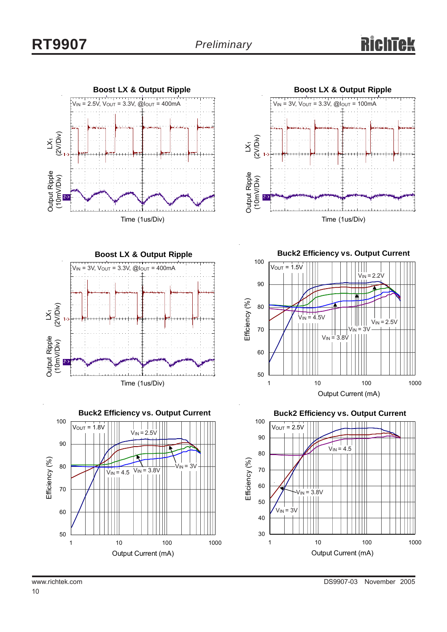







**Buck2 Efficiency vs. Output Current**



**Buck2 Efficiency vs. Output Current**

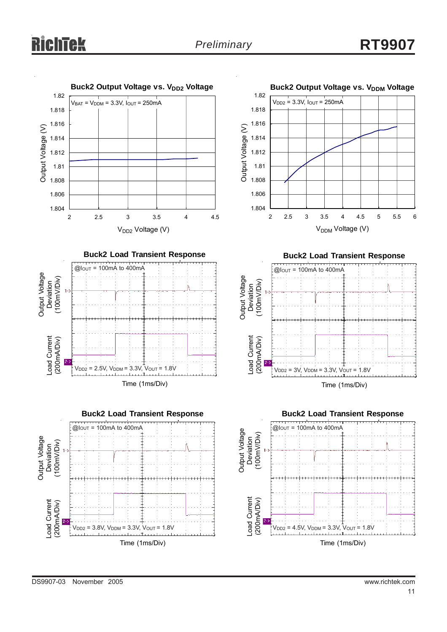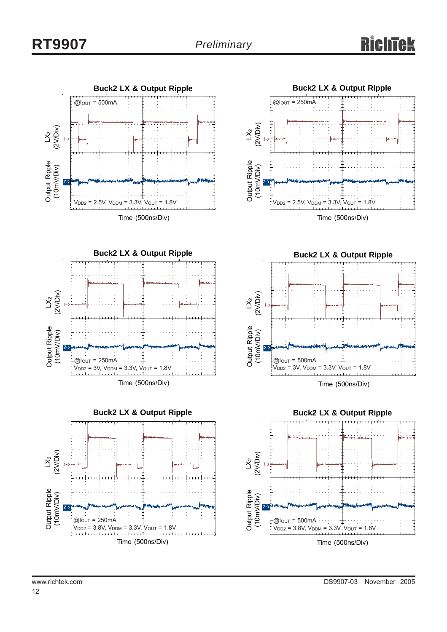











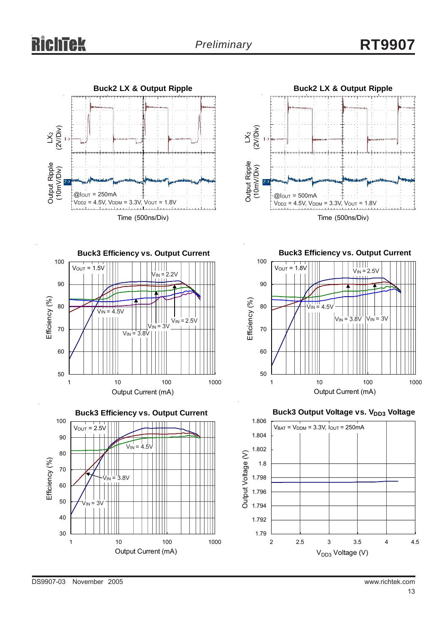



**Buck3 Efficiency vs. Output Current** 100  $V_{OUT} = 1.5V$ THI  $V_{IN} = 2.2V$ 90 Efficiency (%) Efficiency (%)  $V_{\text{IN}} = 4.5V$ 80  $V_{IN} = 2.5V$  $v_{\text{IN}}$  = 3V 70  $V_{IN}$  = 3.8V 60 50 1 10 100 1000 Output Current (mA)



**Buck3 Efficiency vs. Output Current** 100 VIN = 2.5V  $V<sub>OUT</sub> = 1.8V$ HHH 90 Ш



**Buck3 Output Voltage vs. VDD3 Voltage** 

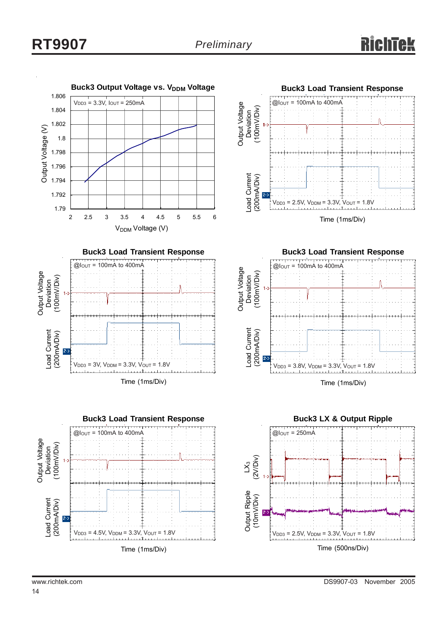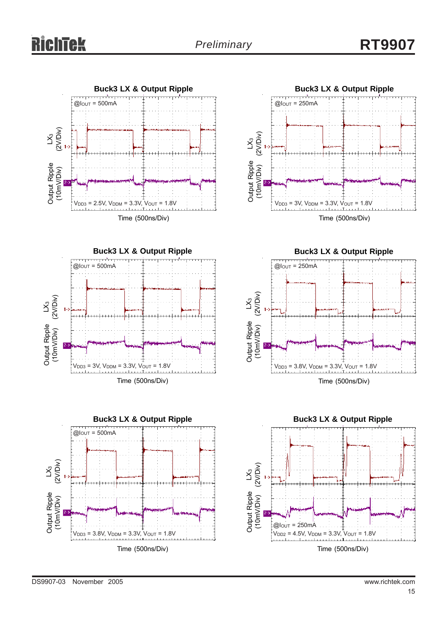



**Buck3 LX & Output Ripple**  $V_{DD3} = 3V$ ,  $V_{DDM} = 3.3V$ ,  $V_{OUT} = 1.8V$  $\mathcal{\r{S}}$ (2V/Div) Output Ripple (10mV/Div)  $@$ lout = 250mA

Time (500ns/Div)



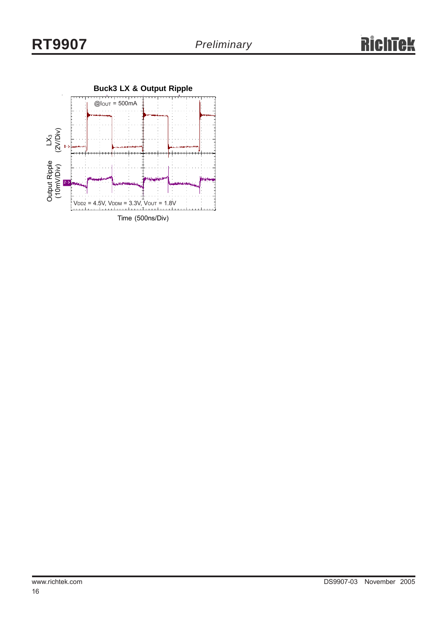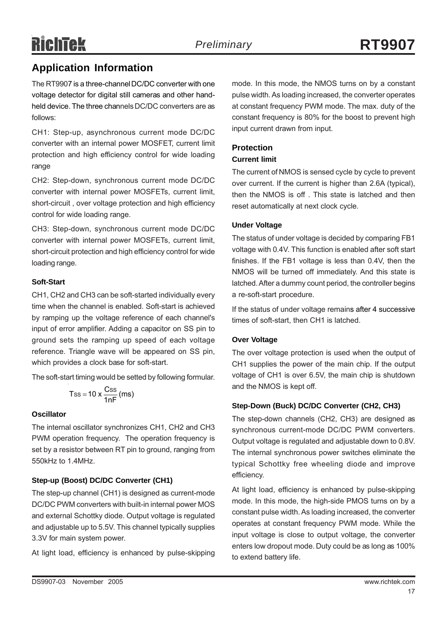## **Application Information**

The RT9907 is a three-channel DC/DC converter with one voltage detector for digital still cameras and other handheld device. The three channels DC/DC converters are as follows:

CH1: Step-up, asynchronous current mode DC/DC converter with an internal power MOSFET, current limit protection and high efficiency control for wide loading range

CH2: Step-down, synchronous current mode DC/DC converter with internal power MOSFETs, current limit, short-circuit , over voltage protection and high efficiency control for wide loading range.

CH3: Step-down, synchronous current mode DC/DC converter with internal power MOSFETs, current limit, short-circuit protection and high efficiency control for wide loading range.

#### **Soft-Start**

CH1, CH2 and CH3 can be soft-started individually every time when the channel is enabled. Soft-start is achieved by ramping up the voltage reference of each channel's input of error amplifier. Adding a capacitor on SS pin to ground sets the ramping up speed of each voltage reference. Triangle wave will be appeared on SS pin, which provides a clock base for soft-start.

The soft-start timing would be setted by following formular.

$$
Tss = 10 \times \frac{Css}{1nF}
$$
 (ms)

#### **Oscillator**

The internal oscillator synchronizes CH1, CH2 and CH3 PWM operation frequency. The operation frequency is set by a resistor between RT pin to ground, ranging from 550kHz to 1.4MHz.

#### **Step-up (Boost) DC/DC Converter (CH1)**

The step-up channel (CH1) is designed as current-mode DC/DC PWM converters with built-in internal power MOS and external Schottky diode. Output voltage is regulated and adjustable up to 5.5V. This channel typically supplies 3.3V for main system power.

At light load, efficiency is enhanced by pulse-skipping

mode. In this mode, the NMOS turns on by a constant pulse width. As loading increased, the converter operates at constant frequency PWM mode. The max. duty of the constant frequency is 80% for the boost to prevent high input current drawn from input.

#### **Protection**

#### **Current limit**

The current of NMOS is sensed cycle by cycle to prevent over current. If the current is higher than 2.6A (typical), then the NMOS is off . This state is latched and then reset automatically at next clock cycle.

#### **Under Voltage**

The status of under voltage is decided by comparing FB1 voltage with 0.4V. This function is enabled after soft start finishes. If the FB1 voltage is less than 0.4V, then the NMOS will be turned off immediately. And this state is latched. After a dummy count period, the controller begins a re-soft-start procedure.

If the status of under voltage remains after 4 successive times of soft-start, then CH1 is latched.

#### **Over Voltage**

The over voltage protection is used when the output of CH1 supplies the power of the main chip. If the output voltage of CH1 is over 6.5V, the main chip is shutdown and the NMOS is kept off.

#### **Step-Down (Buck) DC/DC Converter (CH2, CH3)**

The step-down channels (CH2, CH3) are designed as synchronous current-mode DC/DC PWM converters. Output voltage is regulated and adjustable down to 0.8V. The internal synchronous power switches eliminate the typical Schottky free wheeling diode and improve efficiency.

At light load, efficiency is enhanced by pulse-skipping mode. In this mode, the high-side PMOS turns on by a constant pulse width. As loading increased, the converter operates at constant frequency PWM mode. While the input voltage is close to output voltage, the converter enters low dropout mode. Duty could be as long as 100% to extend battery life.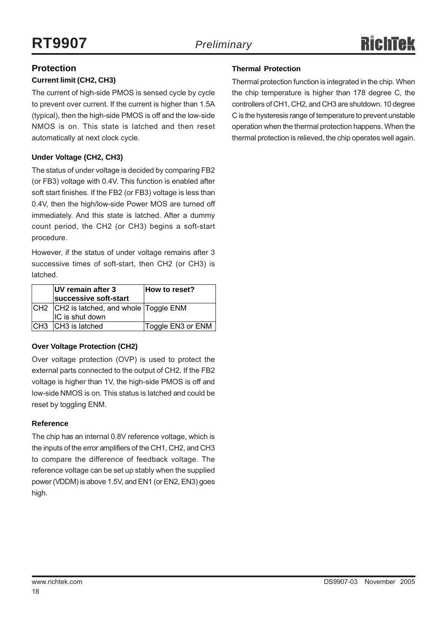### **Protection**

#### **Current limit (CH2, CH3)**

The current of high-side PMOS is sensed cycle by cycle to prevent over current. If the current is higher than 1.5A (typical), then the high-side PMOS is off and the low-side NMOS is on. This state is latched and then reset automatically at next clock cycle.

#### **Under Voltage (CH2, CH3)**

The status of under voltage is decided by comparing FB2 (or FB3) voltage with 0.4V. This function is enabled after soft start finishes. If the FB2 (or FB3) voltage is less than 0.4V, then the high/low-side Power MOS are turned off immediately. And this state is latched. After a dummy count period, the CH2 (or CH3) begins a soft-start procedure.

However, if the status of under voltage remains after 3 successive times of soft-start, then CH2 (or CH3) is latched.

| UV remain after 3<br>successive soft-start                  | How to reset?     |
|-------------------------------------------------------------|-------------------|
| CH2 CH2 is latched, and whole Toggle ENM<br>IC is shut down |                   |
|                                                             |                   |
| ICH3 CH3 is latched                                         | Toggle EN3 or ENM |

#### **Over Voltage Protection (CH2)**

Over voltage protection (OVP) is used to protect the external parts connected to the output of CH2. If the FB2 voltage is higher than 1V, the high-side PMOS is off and low-side NMOS is on. This status is latched and could be reset by toggling ENM.

#### **Reference**

The chip has an internal 0.8V reference voltage, which is the inputs of the error amplifiers of the CH1, CH2, and CH3 to compare the difference of feedback voltage. The reference voltage can be set up stably when the supplied power (VDDM) is above 1.5V, and EN1 (or EN2, EN3) goes high.

#### **Thermal Protection**

Thermal protection function is integrated in the chip. When the chip temperature is higher than 178 degree C, the controllers of CH1, CH2, and CH3 are shutdown. 10 degree C is the hysteresis range of temperature to prevent unstable operation when the thermal protection happens. When the thermal protection is relieved, the chip operates well again.